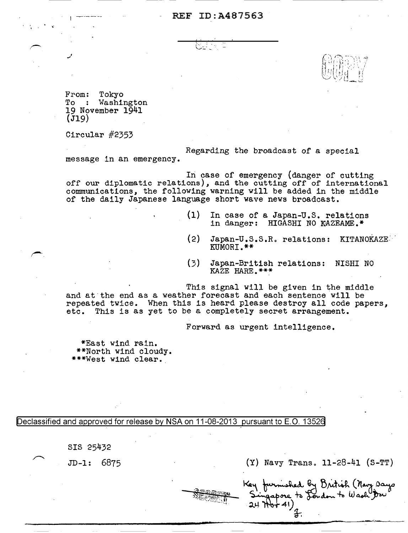## REF ID:A487563

From: Tokyo<br>To : Washi Washington 19 November 1941  $(J19)$ 

Circular #2353

message in an emergency. Regarding the broadcast of a special

In case of emergency (danger of cutting off our diplomatic relations), and the cutting off of international communications, the following warning will be added in the middle of the daily Japanese language short wave news broadcast.

- (1) In case of a Japan-u.s. relations in danger: HIGASHI NO KAZEAME.\*
- (2) Japan-U.S.S.R. relations: KITANOKAZE<sup>: •</sup><br>KUMORI.\*\*

 $\widehat{\Omega}$  (Booth  $\mathcal I$  $\mathbb{U}(\mathbb{N} \setminus \mathbb{N})$  $\cup$   $\cup$   $\boxdot$   $\boxdot$ 

(3) Japan-British relations: NISHI NO KAZE HARE.\*\*\*

This signal will be given in the middle and at the end as a weather forecast and each sentence will be repeated twice. When this is heard please destroy all code papers, etc. This is as yet to be a completely secret arrangement.

Forward as urgent intelligence.

\*East wind rain. \*\*North wind cloudy.<br>\*\*\*West wind clear.

Declassified and approved for release by NSA on 11-08-2013 pursuant to E.O. 13526

SIS 25432

JD-1: 6875 (Y) Navy Transo 11-28-41 (S-TT)

shed by Dritish (Navy Days ore to London to Wash Dru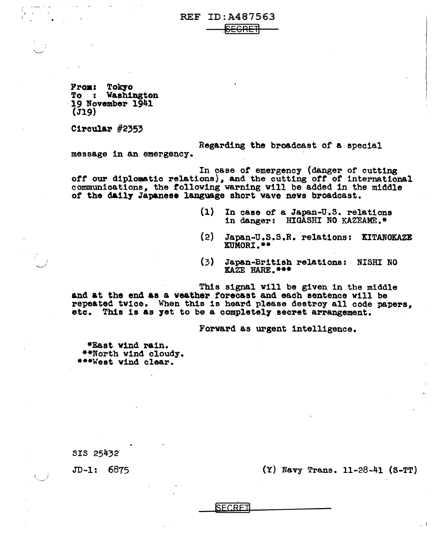REF ID:A487563

.<br>S<del>ECRE</del>∃

From: Tokyo<br>To : Washington<br>19 November 1941  $(j19)$ 

Circular #2353

I  $\overline{\phantom{0}}$ 

 $\mathbf{r}$ 

Regarding the broadcast or a special

message in an emergency.

In case of emergency (danger of cutting *ott* our diplomatic relations), and the cutting *ott* of international communications, the following warning will be added in the middle *ot* the d&117 Japanese language short wave news broadcast.

- (l) In case of a Japan-u.s. relations in danger: HIGASHI NO KAZEAME.\*
- (2) Japan-u.s.s.R. ·relations: EITANOKAZE ltUMORI.\*\*
- (3) Japan-British relations: NISHI NO ICAZE HARE.\*\*\*

This signal will be given in the middle and at the end as a weather forecast and each sentence will be repeated twice. When this is heard please destroy all code papers, etc. This is as yet to be a completely secret arrangement.

Forward as urgent intelligence.

\*East wind rain. \*\*North v1nd cloudy. \*\*\*West wind clear.

SIS 25432

JD-1: 6875

(Y) Navy Trans. 11-28-41 (S-TT)

**SECRET**